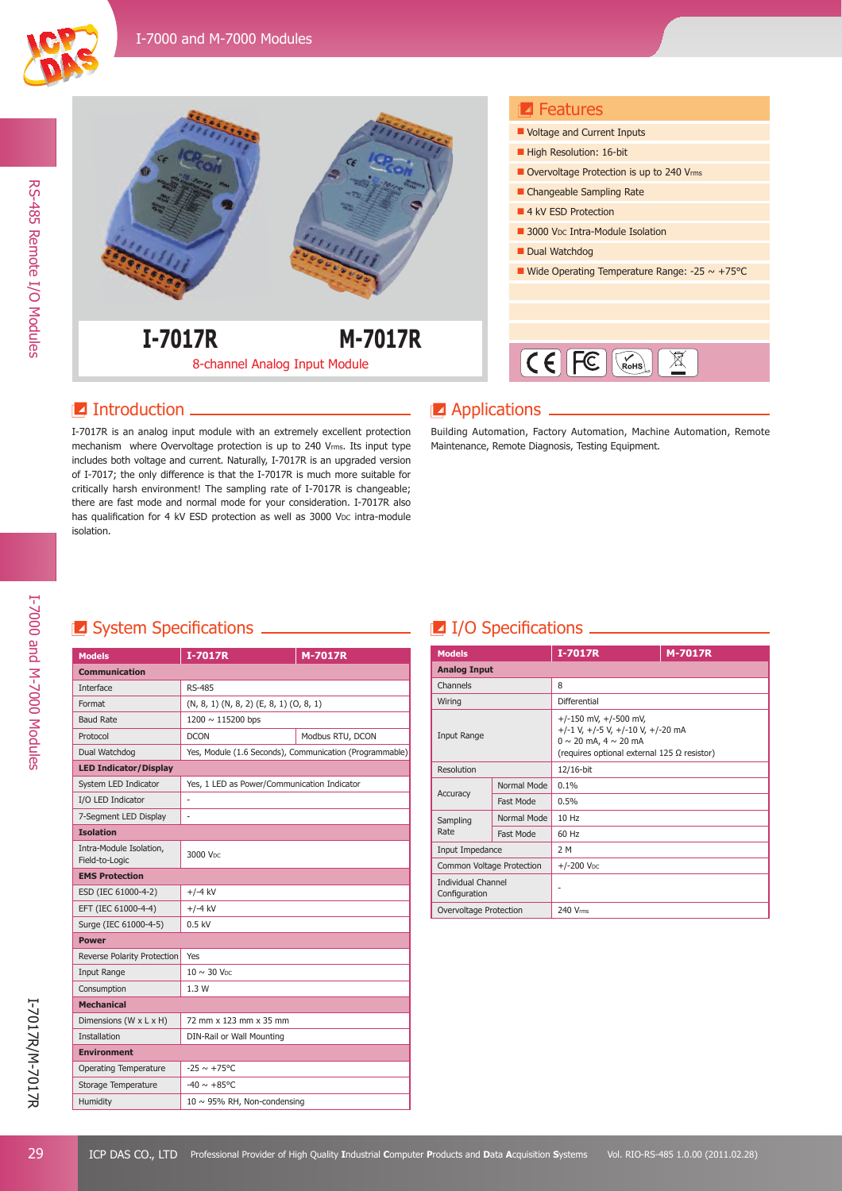



## **Introduction**

I-7017R is an analog input module with an extremely excellent protection mechanism where Overvoltage protection is up to 240 Vrms. Its input type includes both voltage and current. Naturally, I-7017R is an upgraded version of I-7017; the only difference is that the I-7017R is much more suitable for critically harsh environment! The sampling rate of I-7017R is changeable; there are fast mode and normal mode for your consideration. I-7017R also has qualification for 4 kV ESD protection as well as 3000 V<sub>DC</sub> intra-module isolation.

### **Z** Applications

Building Automation, Factory Automation, Machine Automation, Remote Maintenance, Remote Diagnosis, Testing Equipment.

## System Specifi cations I/O Specifi cations

| <b>Models</b>                             | I-7017R                                     | <b>M-7017R</b>                                          |  |
|-------------------------------------------|---------------------------------------------|---------------------------------------------------------|--|
| <b>Communication</b>                      |                                             |                                                         |  |
| Interface                                 | RS-485                                      |                                                         |  |
| Format                                    | (N, 8, 1) (N, 8, 2) (E, 8, 1) (O, 8, 1)     |                                                         |  |
| <b>Baud Rate</b>                          | 1200 ~ 115200 bps                           |                                                         |  |
| Protocol                                  | <b>DCON</b>                                 | Modbus RTU, DCON                                        |  |
| Dual Watchdog                             |                                             | Yes, Module (1.6 Seconds), Communication (Programmable) |  |
| <b>LED Indicator/Display</b>              |                                             |                                                         |  |
| System LED Indicator                      | Yes, 1 LED as Power/Communication Indicator |                                                         |  |
| I/O LED Indicator                         |                                             |                                                         |  |
| 7-Segment LED Display                     | ÷,                                          |                                                         |  |
| <b>Isolation</b>                          |                                             |                                                         |  |
| Intra-Module Isolation,<br>Field-to-Logic | 3000 Voc                                    |                                                         |  |
| <b>EMS Protection</b>                     |                                             |                                                         |  |
| ESD (IEC 61000-4-2)                       | $+/-4$ kV                                   |                                                         |  |
| EFT (IEC 61000-4-4)                       | $+/-4$ kV                                   |                                                         |  |
| Surge (IEC 61000-4-5)                     | $0.5$ kV                                    |                                                         |  |
| <b>Power</b>                              |                                             |                                                         |  |
| Reverse Polarity Protection               | Yes                                         |                                                         |  |
| Input Range                               | $10 \sim 30$ V <sub>DC</sub>                |                                                         |  |
| Consumption                               | 1.3W                                        |                                                         |  |
| <b>Mechanical</b>                         |                                             |                                                         |  |
| Dimensions (W x L x H)                    | 72 mm x 123 mm x 35 mm                      |                                                         |  |
| <b>Installation</b>                       | DIN-Rail or Wall Mounting                   |                                                         |  |
| <b>Environment</b>                        |                                             |                                                         |  |
| <b>Operating Temperature</b>              | $-25 \sim +75^{\circ}C$                     |                                                         |  |
| Storage Temperature                       | $-40 \sim +85^{\circ}$ C                    |                                                         |  |
| Humidity                                  | $10 \sim 95\%$ RH, Non-condensing           |                                                         |  |

| <b>Models</b>                              |             | <b>I-7017R</b>                                                                                                                                          | <b>M-7017R</b> |
|--------------------------------------------|-------------|---------------------------------------------------------------------------------------------------------------------------------------------------------|----------------|
| <b>Analog Input</b>                        |             |                                                                                                                                                         |                |
| Channels                                   |             | 8                                                                                                                                                       |                |
| Wiring                                     |             | Differential                                                                                                                                            |                |
| Input Range                                |             | $+/-150$ mV, $+/-500$ mV,<br>$+/-1$ V, $+/-5$ V, $+/-10$ V, $+/-20$ mA<br>$0 \sim 20$ mA, $4 \sim 20$ mA<br>(requires optional external 125 Ω resistor) |                |
| Resolution                                 |             | 12/16-bit                                                                                                                                               |                |
|                                            | Normal Mode | 0.1%                                                                                                                                                    |                |
| Accuracy                                   | Fast Mode   | 0.5%                                                                                                                                                    |                |
| Sampling<br>Rate                           | Normal Mode | 10 Hz                                                                                                                                                   |                |
|                                            | Fast Mode   | 60 Hz                                                                                                                                                   |                |
| Input Impedance                            |             | 2 M                                                                                                                                                     |                |
| Common Voltage Protection                  |             | $+/-200$ V <sub>DC</sub>                                                                                                                                |                |
| <b>Individual Channel</b><br>Configuration |             | ۰                                                                                                                                                       |                |
| Overvoltage Protection                     |             | 240 Vrms                                                                                                                                                |                |

I-7000 and M-7000 Modules

I-7000 and M-7000 Modules

RS-485 Remote I/O Modules

RS-485 Remote I/O Modules